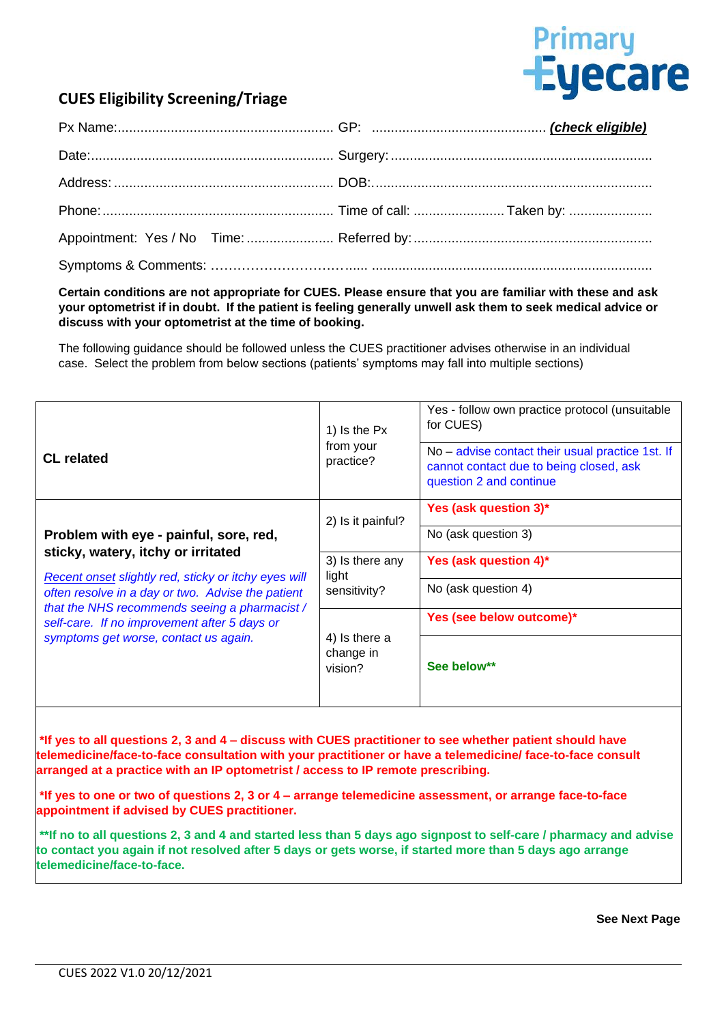

## **CUES Eligibility Screening/Triage**

**Certain conditions are not appropriate for CUES. Please ensure that you are familiar with these and ask your optometrist if in doubt. If the patient is feeling generally unwell ask them to seek medical advice or discuss with your optometrist at the time of booking.**

The following guidance should be followed unless the CUES practitioner advises otherwise in an individual case. Select the problem from below sections (patients' symptoms may fall into multiple sections)

| <b>CL</b> related                                                                                                                                                                                                                                                                                                                   | 1) Is the Px<br>from your<br>practice?   | Yes - follow own practice protocol (unsuitable<br>for CUES)<br>No – advise contact their usual practice 1st. If<br>cannot contact due to being closed, ask<br>question 2 and continue |
|-------------------------------------------------------------------------------------------------------------------------------------------------------------------------------------------------------------------------------------------------------------------------------------------------------------------------------------|------------------------------------------|---------------------------------------------------------------------------------------------------------------------------------------------------------------------------------------|
|                                                                                                                                                                                                                                                                                                                                     | 2) Is it painful?                        | Yes (ask question 3)*                                                                                                                                                                 |
| Problem with eye - painful, sore, red,<br>sticky, watery, itchy or irritated<br>Recent onset slightly red, sticky or itchy eyes will<br>often resolve in a day or two. Advise the patient<br>that the NHS recommends seeing a pharmacist /<br>self-care. If no improvement after 5 days or<br>symptoms get worse, contact us again. |                                          | No (ask question 3)                                                                                                                                                                   |
|                                                                                                                                                                                                                                                                                                                                     | 3) Is there any<br>light<br>sensitivity? | Yes (ask question 4)*                                                                                                                                                                 |
|                                                                                                                                                                                                                                                                                                                                     |                                          | No (ask question 4)                                                                                                                                                                   |
|                                                                                                                                                                                                                                                                                                                                     | 4) Is there a<br>change in<br>vision?    | Yes (see below outcome)*                                                                                                                                                              |
|                                                                                                                                                                                                                                                                                                                                     |                                          | See below**                                                                                                                                                                           |

**\*If yes to all questions 2, 3 and 4 – discuss with CUES practitioner to see whether patient should have telemedicine/face-to-face consultation with your practitioner or have a telemedicine/ face-to-face consult arranged at a practice with an IP optometrist / access to IP remote prescribing.**

**\*If yes to one or two of questions 2, 3 or 4 – arrange telemedicine assessment, or arrange face-to-face appointment if advised by CUES practitioner.**

**\*\*If no to all questions 2, 3 and 4 and started less than 5 days ago signpost to self-care / pharmacy and advise to contact you again if not resolved after 5 days or gets worse, if started more than 5 days ago arrange telemedicine/face-to-face.**

 **See Next Page**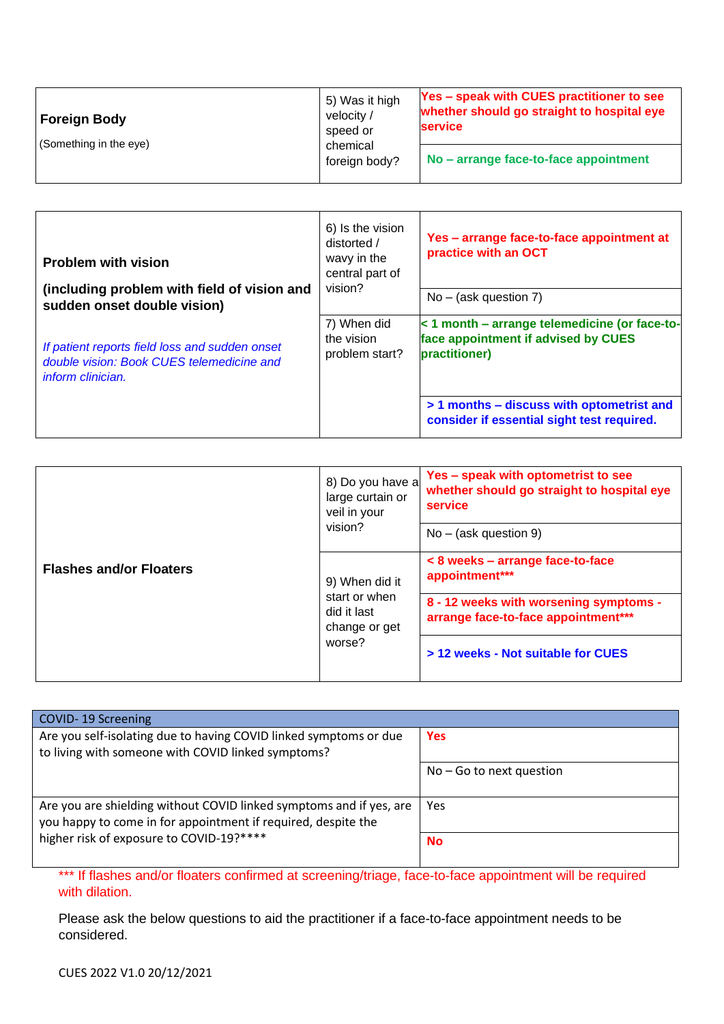| <b>Foreign Body</b>    | 5) Was it high<br>velocity /<br>speed or<br>chemical<br>foreign body? | <b>Yes - speak with CUES practitioner to see</b><br>whether should go straight to hospital eye<br><b>service</b> |
|------------------------|-----------------------------------------------------------------------|------------------------------------------------------------------------------------------------------------------|
| (Something in the eye) |                                                                       | No – arrange face-to-face appointment                                                                            |

| <b>Problem with vision</b><br>(including problem with field of vision and<br>sudden onset double vision)                | 6) Is the vision<br>distorted /<br>wavy in the<br>central part of<br>vision? | Yes - arrange face-to-face appointment at<br>practice with an OCT<br>$No - (ask question 7)$                                                                                                     |
|-------------------------------------------------------------------------------------------------------------------------|------------------------------------------------------------------------------|--------------------------------------------------------------------------------------------------------------------------------------------------------------------------------------------------|
| If patient reports field loss and sudden onset<br>double vision: Book CUES telemedicine and<br><i>inform clinician.</i> | 7) When did<br>the vision<br>problem start?                                  | < 1 month - arrange telemedicine (or face-to-<br>face appointment if advised by CUES<br>practitioner)<br>> 1 months - discuss with optometrist and<br>consider if essential sight test required. |

| <b>Flashes and/or Floaters</b> | 8) Do you have a<br>large curtain or<br>veil in your<br>vision?           | Yes - speak with optometrist to see<br>whether should go straight to hospital eye<br>service<br>$No - (ask question 9)$ |
|--------------------------------|---------------------------------------------------------------------------|-------------------------------------------------------------------------------------------------------------------------|
|                                | 9) When did it<br>start or when<br>did it last<br>change or get<br>worse? | < 8 weeks - arrange face-to-face<br>appointment***                                                                      |
|                                |                                                                           | 8 - 12 weeks with worsening symptoms -<br>arrange face-to-face appointment***                                           |
|                                |                                                                           | > 12 weeks - Not suitable for CUES                                                                                      |

| COVID-19 Screening                                                                                                                   |                            |
|--------------------------------------------------------------------------------------------------------------------------------------|----------------------------|
| Are you self-isolating due to having COVID linked symptoms or due<br>to living with someone with COVID linked symptoms?              | <b>Yes</b>                 |
|                                                                                                                                      | $No - Go$ to next question |
| Are you are shielding without COVID linked symptoms and if yes, are<br>you happy to come in for appointment if required, despite the | Yes                        |
| higher risk of exposure to COVID-19?****                                                                                             | <b>No</b>                  |

\*\*\* If flashes and/or floaters confirmed at screening/triage, face-to-face appointment will be required with dilation.

Please ask the below questions to aid the practitioner if a face-to-face appointment needs to be considered.